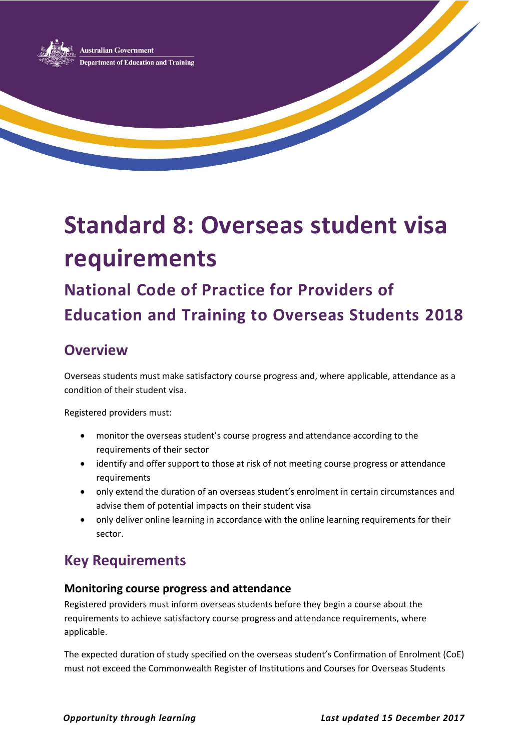

# **Standard 8: Overseas student visa requirements**

## **National Code of Practice for Providers of Education and Training to Overseas Students 2018**

### **Overview**

Overseas students must make satisfactory course progress and, where applicable, attendance as a condition of their student visa.

Registered providers must:

- monitor the overseas student's course progress and attendance according to the requirements of their sector
- identify and offer support to those at risk of not meeting course progress or attendance requirements
- only extend the duration of an overseas student's enrolment in certain circumstances and advise them of potential impacts on their student visa
- only deliver online learning in accordance with the online learning requirements for their sector.

## **Key Requirements**

#### **Monitoring course progress and attendance**

Registered providers must inform overseas students before they begin a course about the requirements to achieve satisfactory course progress and attendance requirements, where applicable.

The expected duration of study specified on the overseas student's Confirmation of Enrolment (CoE) must not exceed the Commonwealth Register of Institutions and Courses for Overseas Students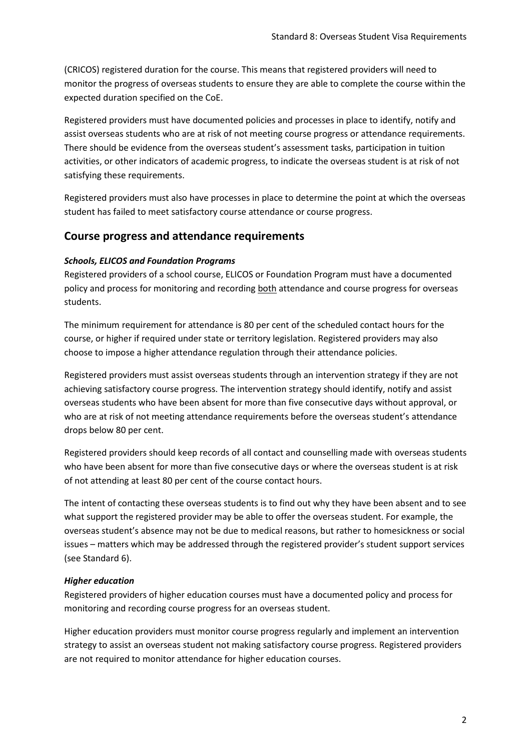(CRICOS) registered duration for the course. This means that registered providers will need to monitor the progress of overseas students to ensure they are able to complete the course within the expected duration specified on the CoE.

Registered providers must have documented policies and processes in place to identify, notify and assist overseas students who are at risk of not meeting course progress or attendance requirements. There should be evidence from the overseas student's assessment tasks, participation in tuition activities, or other indicators of academic progress, to indicate the overseas student is at risk of not satisfying these requirements.

Registered providers must also have processes in place to determine the point at which the overseas student has failed to meet satisfactory course attendance or course progress.

#### **Course progress and attendance requirements**

#### *Schools, ELICOS and Foundation Programs*

Registered providers of a school course, ELICOS or Foundation Program must have a documented policy and process for monitoring and recording both attendance and course progress for overseas students.

The minimum requirement for attendance is 80 per cent of the scheduled contact hours for the course, or higher if required under state or territory legislation. Registered providers may also choose to impose a higher attendance regulation through their attendance policies.

Registered providers must assist overseas students through an intervention strategy if they are not achieving satisfactory course progress. The intervention strategy should identify, notify and assist overseas students who have been absent for more than five consecutive days without approval, or who are at risk of not meeting attendance requirements before the overseas student's attendance drops below 80 per cent.

Registered providers should keep records of all contact and counselling made with overseas students who have been absent for more than five consecutive days or where the overseas student is at risk of not attending at least 80 per cent of the course contact hours.

The intent of contacting these overseas students is to find out why they have been absent and to see what support the registered provider may be able to offer the overseas student. For example, the overseas student's absence may not be due to medical reasons, but rather to homesickness or social issues – matters which may be addressed through the registered provider's student support services (see Standard 6).

#### *Higher education*

Registered providers of higher education courses must have a documented policy and process for monitoring and recording course progress for an overseas student.

Higher education providers must monitor course progress regularly and implement an intervention strategy to assist an overseas student not making satisfactory course progress. Registered providers are not required to monitor attendance for higher education courses.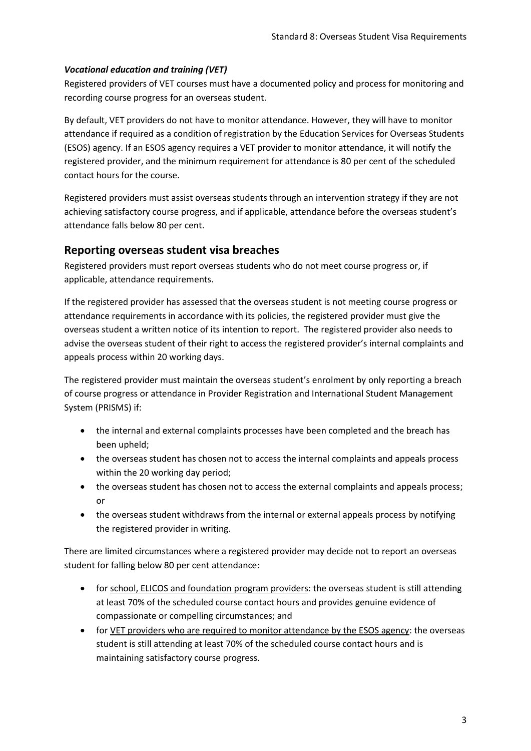#### *Vocational education and training (VET)*

Registered providers of VET courses must have a documented policy and process for monitoring and recording course progress for an overseas student.

By default, VET providers do not have to monitor attendance. However, they will have to monitor attendance if required as a condition of registration by the Education Services for Overseas Students (ESOS) agency. If an ESOS agency requires a VET provider to monitor attendance, it will notify the registered provider, and the minimum requirement for attendance is 80 per cent of the scheduled contact hours for the course.

Registered providers must assist overseas students through an intervention strategy if they are not achieving satisfactory course progress, and if applicable, attendance before the overseas student's attendance falls below 80 per cent.

#### **Reporting overseas student visa breaches**

Registered providers must report overseas students who do not meet course progress or, if applicable, attendance requirements.

If the registered provider has assessed that the overseas student is not meeting course progress or attendance requirements in accordance with its policies, the registered provider must give the overseas student a written notice of its intention to report. The registered provider also needs to advise the overseas student of their right to access the registered provider's internal complaints and appeals process within 20 working days.

The registered provider must maintain the overseas student's enrolment by only reporting a breach of course progress or attendance in Provider Registration and International Student Management System (PRISMS) if:

- the internal and external complaints processes have been completed and the breach has been upheld;
- the overseas student has chosen not to access the internal complaints and appeals process within the 20 working day period;
- the overseas student has chosen not to access the external complaints and appeals process; or
- the overseas student withdraws from the internal or external appeals process by notifying the registered provider in writing.

There are limited circumstances where a registered provider may decide not to report an overseas student for falling below 80 per cent attendance:

- for school, ELICOS and foundation program providers: the overseas student is still attending at least 70% of the scheduled course contact hours and provides genuine evidence of compassionate or compelling circumstances; and
- for VET providers who are required to monitor attendance by the ESOS agency: the overseas student is still attending at least 70% of the scheduled course contact hours and is maintaining satisfactory course progress.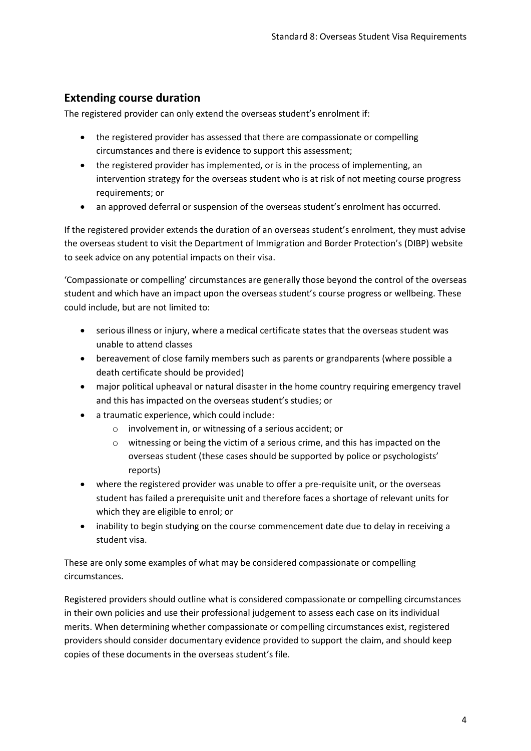#### **Extending course duration**

The registered provider can only extend the overseas student's enrolment if:

- the registered provider has assessed that there are compassionate or compelling circumstances and there is evidence to support this assessment;
- the registered provider has implemented, or is in the process of implementing, an intervention strategy for the overseas student who is at risk of not meeting course progress requirements; or
- an approved deferral or suspension of the overseas student's enrolment has occurred.

If the registered provider extends the duration of an overseas student's enrolment, they must advise the overseas student to visit the Department of Immigration and Border Protection's (DIBP) website to seek advice on any potential impacts on their visa.

'Compassionate or compelling' circumstances are generally those beyond the control of the overseas student and which have an impact upon the overseas student's course progress or wellbeing. These could include, but are not limited to:

- serious illness or injury, where a medical certificate states that the overseas student was unable to attend classes
- bereavement of close family members such as parents or grandparents (where possible a death certificate should be provided)
- major political upheaval or natural disaster in the home country requiring emergency travel and this has impacted on the overseas student's studies; or
- a traumatic experience, which could include:
	- o involvement in, or witnessing of a serious accident; or
	- $\circ$  witnessing or being the victim of a serious crime, and this has impacted on the overseas student (these cases should be supported by police or psychologists' reports)
- where the registered provider was unable to offer a pre-requisite unit, or the overseas student has failed a prerequisite unit and therefore faces a shortage of relevant units for which they are eligible to enrol; or
- inability to begin studying on the course commencement date due to delay in receiving a student visa.

These are only some examples of what may be considered compassionate or compelling circumstances.

Registered providers should outline what is considered compassionate or compelling circumstances in their own policies and use their professional judgement to assess each case on its individual merits. When determining whether compassionate or compelling circumstances exist, registered providers should consider documentary evidence provided to support the claim, and should keep copies of these documents in the overseas student's file.